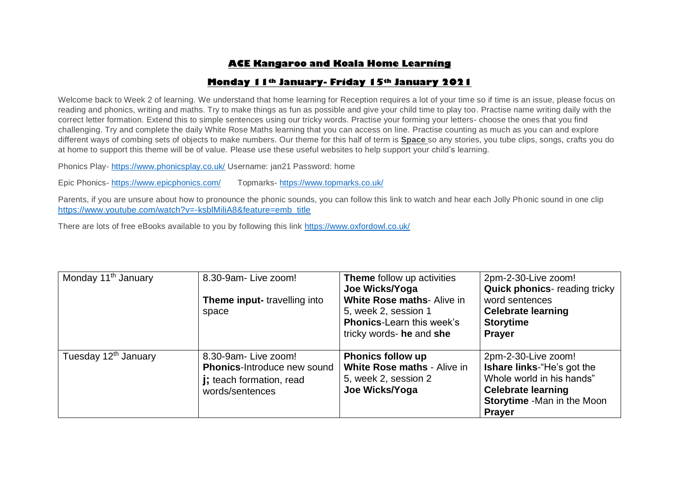# **ACE Kangaroo and Koala Home Learning**

## **Monday 11th January- Friday 15th January 2021**

Welcome back to Week 2 of learning. We understand that home learning for Reception requires a lot of your time so if time is an issue, please focus on reading and phonics, writing and maths. Try to make things as fun as possible and give your child time to play too. Practise name writing daily with the correct letter formation. Extend this to simple sentences using our tricky words. Practise your forming your letters- choose the ones that you find challenging. Try and complete the daily White Rose Maths learning that you can access on line. Practise counting as much as you can and explore different ways of combing sets of objects to make numbers. Our theme for this half of term is **Space** so any stories, you tube clips, songs, crafts you do at home to support this theme will be of value. Please use these useful websites to help support your child's learning.

Phonics Play- <https://www.phonicsplay.co.uk/> Username: jan21 Password: home

Epic Phonics- <https://www.epicphonics.com/>Topmarks- <https://www.topmarks.co.uk/>

Parents, if you are unsure about how to pronounce the phonic sounds, you can follow this link to watch and hear each Jolly Phonic sound in one clip [https://www.youtube.com/watch?v=-ksblMiliA8&feature=emb\\_title](https://www.youtube.com/watch?v=-ksblMiliA8&feature=emb_title)

There are lots of free eBooks available to you by following this link<https://www.oxfordowl.co.uk/>

| Monday 11 <sup>th</sup> January  | 8.30-9am-Live zoom!                                                                                              | Theme follow up activities<br>Joe Wicks/Yoga                                                                       | 2pm-2-30-Live zoom!<br><b>Quick phonics-reading tricky</b>                                                                                                                |
|----------------------------------|------------------------------------------------------------------------------------------------------------------|--------------------------------------------------------------------------------------------------------------------|---------------------------------------------------------------------------------------------------------------------------------------------------------------------------|
|                                  | Theme input-travelling into<br>space                                                                             | White Rose maths- Alive in<br>5, week 2, session 1<br><b>Phonics-Learn this week's</b><br>tricky words- he and she | word sentences<br><b>Celebrate learning</b><br><b>Storytime</b><br><b>Prayer</b>                                                                                          |
| Tuesday 12 <sup>th</sup> January | 8.30-9am-Live zoom!<br><b>Phonics-Introduce new sound</b><br><b>j</b> ; teach formation, read<br>words/sentences | <b>Phonics follow up</b><br>White Rose maths - Alive in<br>5, week 2, session 2<br>Joe Wicks/Yoga                  | 2pm-2-30-Live zoom!<br><b>Ishare links-</b> "He's got the<br>Whole world in his hands"<br><b>Celebrate learning</b><br><b>Storytime -Man in the Moon</b><br><b>Prayer</b> |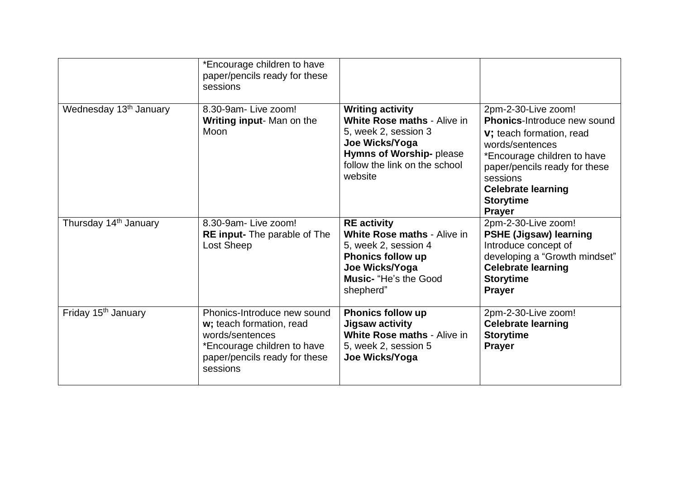|                                    | *Encourage children to have<br>paper/pencils ready for these<br>sessions                                                                               |                                                                                                                                                                                 |                                                                                                                                                                                                                                                         |
|------------------------------------|--------------------------------------------------------------------------------------------------------------------------------------------------------|---------------------------------------------------------------------------------------------------------------------------------------------------------------------------------|---------------------------------------------------------------------------------------------------------------------------------------------------------------------------------------------------------------------------------------------------------|
| Wednesday 13 <sup>th</sup> January | 8.30-9am- Live zoom!<br>Writing input-Man on the<br>Moon                                                                                               | <b>Writing activity</b><br><b>White Rose maths - Alive in</b><br>5, week 2, session 3<br>Joe Wicks/Yoga<br>Hymns of Worship- please<br>follow the link on the school<br>website | 2pm-2-30-Live zoom!<br>Phonics-Introduce new sound<br><b>v</b> ; teach formation, read<br>words/sentences<br>*Encourage children to have<br>paper/pencils ready for these<br>sessions<br><b>Celebrate learning</b><br><b>Storytime</b><br><b>Prayer</b> |
| Thursday 14 <sup>th</sup> January  | 8.30-9am- Live zoom!<br><b>RE input-</b> The parable of The<br>Lost Sheep                                                                              | <b>RE</b> activity<br><b>White Rose maths - Alive in</b><br>5, week 2, session 4<br><b>Phonics follow up</b><br>Joe Wicks/Yoga<br><b>Music-</b> "He's the Good<br>shepherd"     | 2pm-2-30-Live zoom!<br><b>PSHE (Jigsaw) learning</b><br>Introduce concept of<br>developing a "Growth mindset"<br><b>Celebrate learning</b><br><b>Storytime</b><br><b>Prayer</b>                                                                         |
| Friday 15 <sup>th</sup> January    | Phonics-Introduce new sound<br>w; teach formation, read<br>words/sentences<br>*Encourage children to have<br>paper/pencils ready for these<br>sessions | <b>Phonics follow up</b><br>Jigsaw activity<br><b>White Rose maths - Alive in</b><br>5, week 2, session 5<br>Joe Wicks/Yoga                                                     | 2pm-2-30-Live zoom!<br><b>Celebrate learning</b><br><b>Storytime</b><br><b>Prayer</b>                                                                                                                                                                   |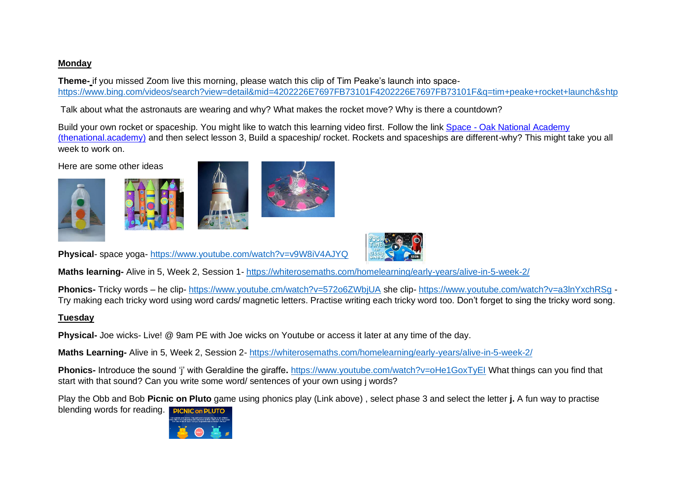## **Monday**

**Theme-** if you missed Zoom live this morning, please watch this clip of Tim Peake's launch into space<https://www.bing.com/videos/search?view=detail&mid=4202226E7697FB73101F4202226E7697FB73101F&q=tim+peake+rocket+launch&shtp>

Talk about what the astronauts are wearing and why? What makes the rocket move? Why is there a countdown?

Build your own rocket or spaceship. You might like to watch this learning video first. Follow the link Space - [Oak National Academy](https://classroom.thenational.academy/units/space-7230)  [\(thenational.academy\)](https://classroom.thenational.academy/units/space-7230) and then select lesson 3, Build a spaceship/ rocket. Rockets and spaceships are different-why? This might take you all week to work on.

Here are some other ideas







**Physical**- space yoga- <https://www.youtube.com/watch?v=v9W8iV4AJYQ>

**Maths learning-** Alive in 5, Week 2, Session 1- <https://whiterosemaths.com/homelearning/early-years/alive-in-5-week-2/>

**Phonics-** Tricky words – he clip- [https://www.youtube.cm/watch?v=572o6ZWbjUA](https://www.youtube.com/watch?v=572o6ZWbjUA) she clip- <https://www.youtube.com/watch?v=a3lnYxchRSg> - Try making each tricky word using word cards/ magnetic letters. Practise writing each tricky word too. Don't forget to sing the tricky word song.

# **Tuesday**

**Physical-** Joe wicks- Live! @ 9am PE with Joe wicks on Youtube or access it later at any time of the day.

**Maths Learning-** Alive in 5, Week 2, Session 2- <https://whiterosemaths.com/homelearning/early-years/alive-in-5-week-2/>

**Phonics-** Introduce the sound 'j' with Geraldine the giraffe**.** <https://www.youtube.com/watch?v=oHe1GoxTyEI> What things can you find that start with that sound? Can you write some word/ sentences of your own using j words?

Play the Obb and Bob **Picnic on Pluto** game using phonics play (Link above) , select phase 3 and select the letter **j.** A fun way to practise

blending words for reading. **PICNIC on PLUTO** 

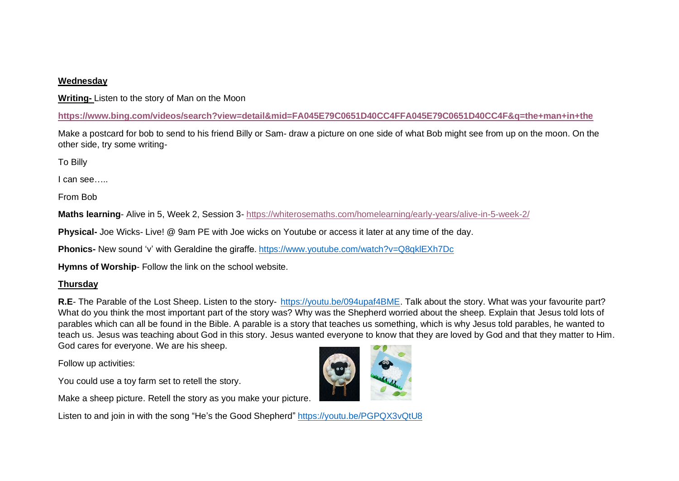#### **Wednesday**

**Writing-** Listen to the story of Man on the Moon

**<https://www.bing.com/videos/search?view=detail&mid=FA045E79C0651D40CC4FFA045E79C0651D40CC4F&q=the+man+in+the>**

Make a postcard for bob to send to his friend Billy or Sam- draw a picture on one side of what Bob might see from up on the moon. On the other side, try some writing-

To Billy

I can see…..

From Bob

**Maths learning**- Alive in 5, Week 2, Session 3- <https://whiterosemaths.com/homelearning/early-years/alive-in-5-week-2/>

**Physical-** Joe Wicks- Live! @ 9am PE with Joe wicks on Youtube or access it later at any time of the day.

**Phonics-** New sound 'v' with Geraldine the giraffe. <https://www.youtube.com/watch?v=Q8qklEXh7Dc>

**Hymns of Worship**- Follow the link on the school website.

### **Thursday**

**R.E**- The Parable of the Lost Sheep. Listen to the story- [https://youtu.be/094upaf4BME.](https://youtu.be/094upaf4BME) Talk about the story. What was your favourite part? What do you think the most important part of the story was? Why was the Shepherd worried about the sheep. Explain that Jesus told lots of parables which can all be found in the Bible. A parable is a story that teaches us something, which is why Jesus told parables, he wanted to teach us. Jesus was teaching about God in this story. Jesus wanted everyone to know that they are loved by God and that they matter to Him. God cares for everyone. We are his sheep.

Follow up activities:

You could use a toy farm set to retell the story.

Make a sheep picture. Retell the story as you make your picture.

Listen to and join in with the song "He's the Good Shepherd" <https://youtu.be/PGPQX3vQtU8>